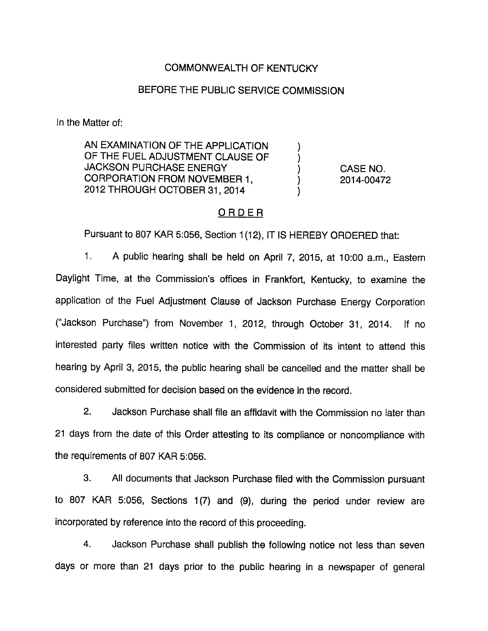#### COMMONWEALTH OF KENTUCKY

## BEFORE THE PUBLIC SERVICE COMMISSION

In the Matter of:

AN EXAMINATION OF THE APPLICATION OF THE FUEL ADJUSTMENT CLAUSE OF JACKSON PURCHASE ENERGY CORPORATION FROM NOVEMBER 1, 2012 THROUGH OCTOBER 31, 2014

CASE NO. 2014-00472

 $\mathcal{Y}$  $\mathcal{E}$ 

### ORDER

Pursuant to 807 KAR 5:056, Section 1(12), IT IS HEREBY ORDERED that:

1. A public hearing shall be held on April 7, 2015, at 10:00 a.m., Eastem Daylight Time, at the Commission's offices in Frankfort, Kentucky, to examine the application of the Fuel Adjustment Clause of Jackson Purchase Energy Corporation ("Jackson Purchase") from November 1, 2012, through October 31, 2014. If no interested party files written notice with the Commission of its intent to attend this hearing by April 3, 2015, the public hearing shall be cancelled and the matter shall be considered submitted for decision based on the evidence in the record.

2. Jackson Purchase shall file an affidavit with the Commission no later than 21 days from the date of this Order attesting to its compliance or noncompliance with the requirements of 807 KAR 5:056.

3. All documents that Jackson Purchase filed with the Commission pursuant to 807 KAR 5:056, Sections 1(7) and (9), during the period under review are incorporated by reference into the record of this proceeding.

4. Jackson Purchase shall publish the following notice not less than seven days or more than 21 days prior to the public hearing in a newspaper of general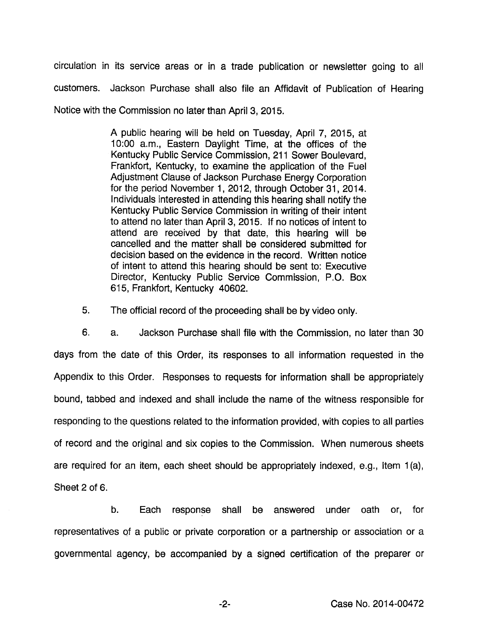circulation in its service areas or in a trade publication or newsletter going to all customers. Jackson Purchase shall also file an Affidavit of Publication of Hearing Notice with the Commission no later than April 3, 2015.

> A public hearing will be held on Tuesday, April 7, 2015, at 10:00 a.m.. Eastern Daylight Time, at the offices of the Kentucky Public Service Commission, 211 Sower Boulevard, Frankfort, Kentucky, to examine the application of the Fuel Adjustment Clause of Jackson Purchase Energy Corporation for the period November 1, 2012, through October 31, 2014. Individuals interested in attending this hearing shall notify the Kentucky Public Service Commission in writing of their intent to attend no later than April 3, 2015. If no notices of intent to attend are received by that date, this hearing will be cancelled and the matter shall be considered submitted for decision based on the evidence in the record. Written notice of intent to attend this hearing should be sent to: Executive Director, Kentucky Public Service Commission, P.O. Box 615, Frankfort, Kentucky 40602.

5. The official record of the proceeding shall be by video only.

6. a. Jackson Purchase shall file with the Commission, no later than 30 days from the date of this Order, its responses to all Information requested in the Appendix to this Order. Responses to requests for information shall be appropriately bound, tabbed and indexed and shall include the name of the witness responsible for responding to the questions related to the information provided, with copies to all parties of record and the original and six copies to the Commission. When numerous sheets are required for an item, each sheet should be appropriately indexed, e.g., Item 1(a), Sheet 2 of 6.

b. Each response shall be answered under oath or, for representatives of a public or private corporation or a partnership or association or a governmental agency, be accompanied by a signed certification of the preparer or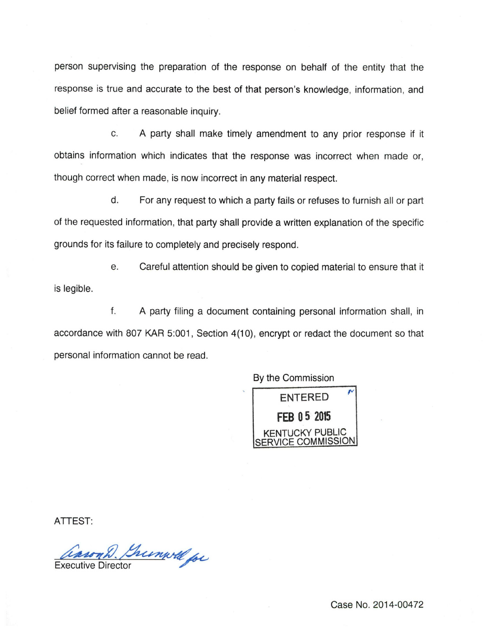person supervising the preparation of the response on behalf of the entity that the response is true and accurate to the best of that person's knowledge, information, and belief formed after a reasonable inquiry.

c. A party shall make timely amendment to any prior response if it obtains information which indicates that the response was incorrect when made or, though correct when made, is now incorrect in any material respect.

d. For any request to which a party fails or refuses to furnish all or part of the requested information, that party shall provide a written explanation of the specific grounds for its failure to completely and precisely respond.

e. Careful attention should be given to copied material to ensure that it is legible.

f. A party filing a document containing personal information shall, in accordance with 807 KAR 5:001, Section 4(10), encrypt or redact the document so that personal information cannot be read.

By the Commission



ATTEST:

won'd Brumwell for

Case No. 2014-00472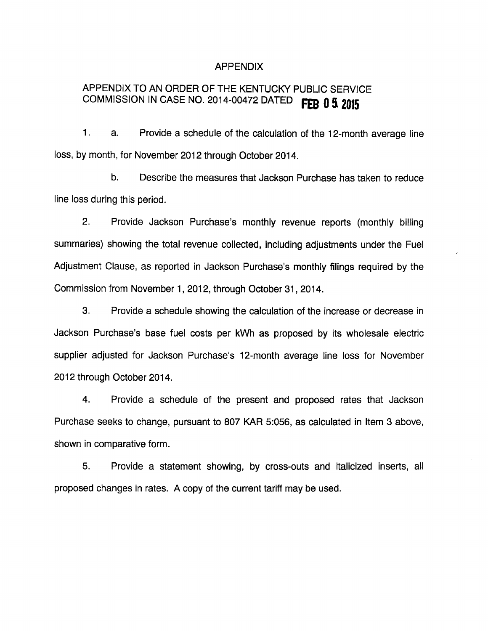#### APPENDIX

# APPENDIX TO AN ORDER OF THE KENTUCKY PUBLIC SERVICE COMMISSION IN CASE NO. 2014-00472 DATED FEB 0 5 2015

1. a. Provide a schedule of the calculation of the 12-month average line loss, by month, for November 2012 through October 2014.

b. Describe the measures that Jackson Purchase has taken to reduce line loss during this period.

2. Provide Jackson Purchase's monthly revenue reports (monthly billing summaries) showing the total revenue collected, including adjustments under the Fuel Adjustment Clause, as reported in Jackson Purchase's monthly filings required by the Commission from November 1, 2012, through October 31, 2014.

3. Provide a schedule showing the calculation of the increase or decrease in Jackson Purchase's base fuel costs per kWh as proposed by its wholesale electric supplier adjusted for Jackson Purchase's 12-month average line loss for November 2012 through October 2014.

4. Provide a schedule of the present and proposed rates that Jackson Purchase seeks to change, pursuant to 807 KAR 5:056, as calculated in Item 3 above, shown in comparative form.

5. Provide a statement showing, by cross-outs and italicized inserts, all proposed changes in rates. A copy of the current tariff may be used.